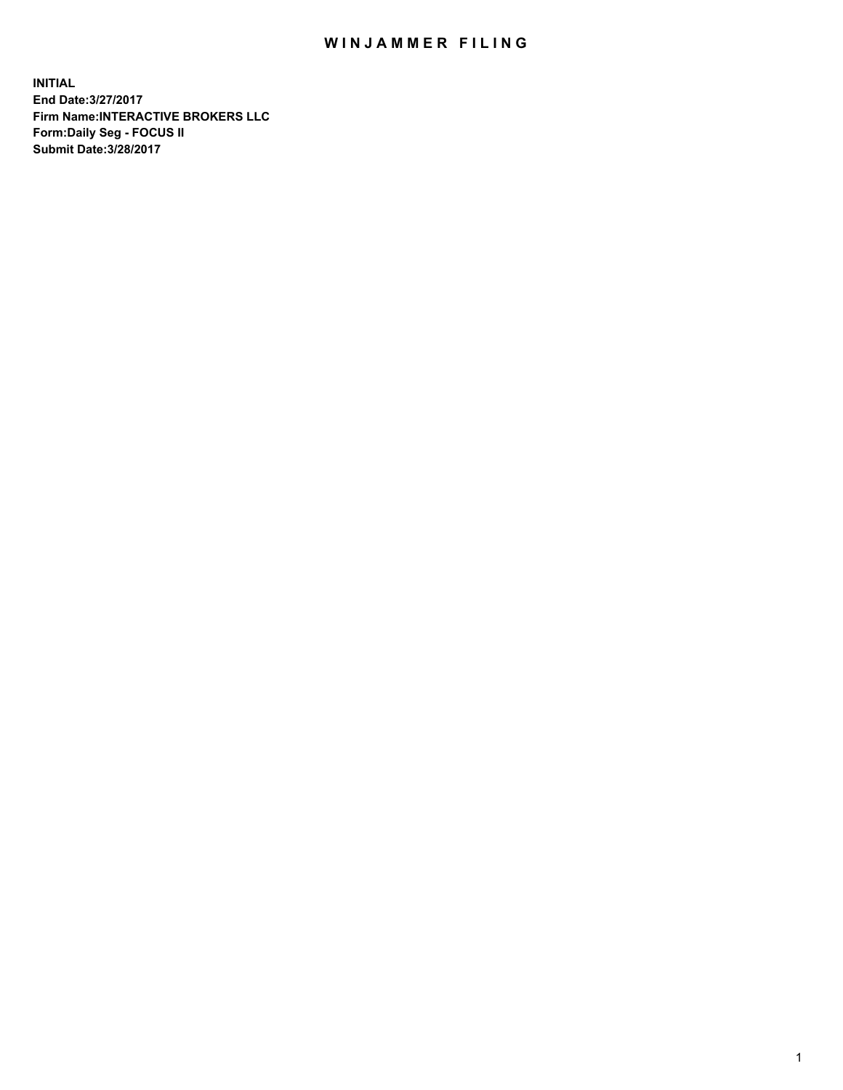## WIN JAMMER FILING

**INITIAL End Date:3/27/2017 Firm Name:INTERACTIVE BROKERS LLC Form:Daily Seg - FOCUS II Submit Date:3/28/2017**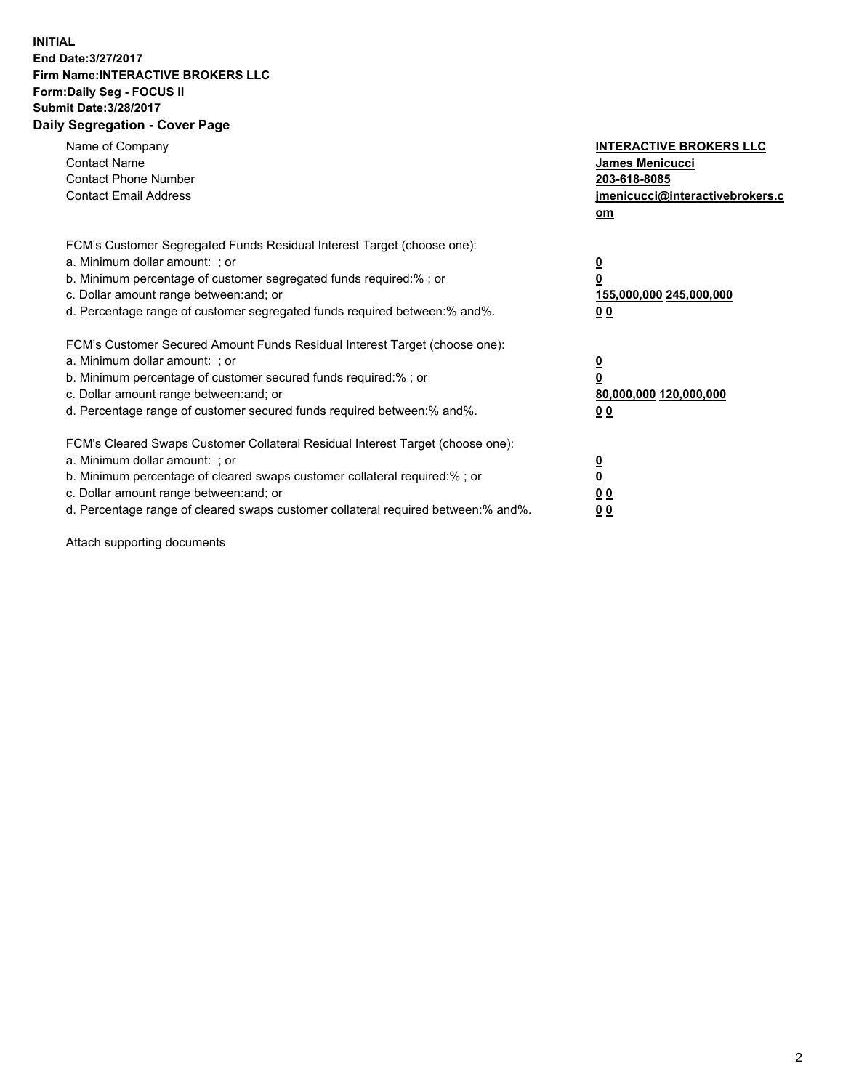## **INITIAL End Date:3/27/2017 Firm Name:INTERACTIVE BROKERS LLC Form:Daily Seg - FOCUS II Submit Date:3/28/2017 Daily Segregation - Cover Page**

| Name of Company<br><b>Contact Name</b><br><b>Contact Phone Number</b><br><b>Contact Email Address</b>                                                                                                                                                                                                                          | <b>INTERACTIVE BROKERS LLC</b><br><b>James Menicucci</b><br>203-618-8085<br>jmenicucci@interactivebrokers.c<br>om |
|--------------------------------------------------------------------------------------------------------------------------------------------------------------------------------------------------------------------------------------------------------------------------------------------------------------------------------|-------------------------------------------------------------------------------------------------------------------|
| FCM's Customer Segregated Funds Residual Interest Target (choose one):<br>a. Minimum dollar amount: ; or<br>b. Minimum percentage of customer segregated funds required:%; or<br>c. Dollar amount range between: and; or<br>d. Percentage range of customer segregated funds required between:% and%.                          | $\overline{\mathbf{0}}$<br>0<br>155,000,000 245,000,000<br>0 <sub>0</sub>                                         |
| FCM's Customer Secured Amount Funds Residual Interest Target (choose one):<br>a. Minimum dollar amount: ; or<br>b. Minimum percentage of customer secured funds required:%; or<br>c. Dollar amount range between: and; or<br>d. Percentage range of customer secured funds required between: % and %.                          | $\overline{\mathbf{0}}$<br>0<br>80,000,000 120,000,000<br>00                                                      |
| FCM's Cleared Swaps Customer Collateral Residual Interest Target (choose one):<br>a. Minimum dollar amount: ; or<br>b. Minimum percentage of cleared swaps customer collateral required:% ; or<br>c. Dollar amount range between: and; or<br>d. Percentage range of cleared swaps customer collateral required between:% and%. | $\overline{\mathbf{0}}$<br>$\overline{\mathbf{0}}$<br>0 <sub>0</sub><br><u>00</u>                                 |

Attach supporting documents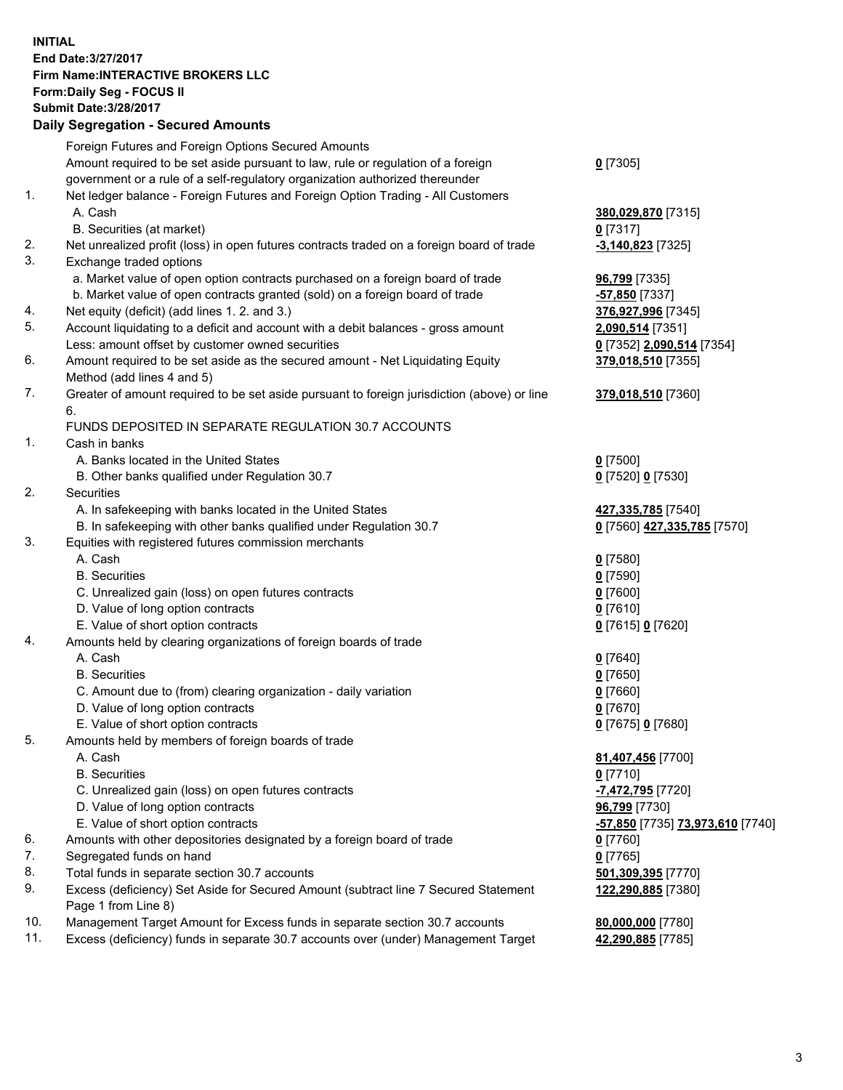## **INITIAL End Date:3/27/2017 Firm Name:INTERACTIVE BROKERS LLC Form:Daily Seg - FOCUS II Submit Date:3/28/2017 Daily Segregation - Secured Amounts**

|     | Foreign Futures and Foreign Options Secured Amounts                                         |                                  |
|-----|---------------------------------------------------------------------------------------------|----------------------------------|
|     | Amount required to be set aside pursuant to law, rule or regulation of a foreign            | $0$ [7305]                       |
|     | government or a rule of a self-regulatory organization authorized thereunder                |                                  |
| 1.  | Net ledger balance - Foreign Futures and Foreign Option Trading - All Customers             |                                  |
|     | A. Cash                                                                                     | 380,029,870 [7315]               |
|     | B. Securities (at market)                                                                   | $0$ [7317]                       |
| 2.  | Net unrealized profit (loss) in open futures contracts traded on a foreign board of trade   | $-3,140,823$ [7325]              |
| 3.  | Exchange traded options                                                                     |                                  |
|     | a. Market value of open option contracts purchased on a foreign board of trade              | 96,799 [7335]                    |
|     | b. Market value of open contracts granted (sold) on a foreign board of trade                | $-57,850$ [7337]                 |
| 4.  | Net equity (deficit) (add lines 1.2. and 3.)                                                | 376,927,996 [7345]               |
| 5.  | Account liquidating to a deficit and account with a debit balances - gross amount           | 2,090,514 [7351]                 |
|     | Less: amount offset by customer owned securities                                            | 0 [7352] 2,090,514 [7354]        |
| 6.  | Amount required to be set aside as the secured amount - Net Liquidating Equity              | 379,018,510 [7355]               |
|     | Method (add lines 4 and 5)                                                                  |                                  |
| 7.  | Greater of amount required to be set aside pursuant to foreign jurisdiction (above) or line | 379,018,510 [7360]               |
|     | 6.                                                                                          |                                  |
|     | FUNDS DEPOSITED IN SEPARATE REGULATION 30.7 ACCOUNTS                                        |                                  |
| 1.  | Cash in banks                                                                               |                                  |
|     | A. Banks located in the United States                                                       | $0$ [7500]                       |
|     | B. Other banks qualified under Regulation 30.7                                              | 0 [7520] 0 [7530]                |
| 2.  | Securities                                                                                  |                                  |
|     | A. In safekeeping with banks located in the United States                                   | 427,335,785 [7540]               |
|     | B. In safekeeping with other banks qualified under Regulation 30.7                          | 0 [7560] 427,335,785 [7570]      |
| 3.  | Equities with registered futures commission merchants                                       |                                  |
|     | A. Cash                                                                                     | $0$ [7580]                       |
|     | <b>B.</b> Securities                                                                        | $0$ [7590]                       |
|     | C. Unrealized gain (loss) on open futures contracts                                         | $0$ [7600]                       |
|     | D. Value of long option contracts                                                           | $0$ [7610]                       |
|     | E. Value of short option contracts                                                          | 0 [7615] 0 [7620]                |
| 4.  | Amounts held by clearing organizations of foreign boards of trade                           |                                  |
|     | A. Cash                                                                                     | $0$ [7640]                       |
|     | <b>B.</b> Securities                                                                        | $0$ [7650]                       |
|     | C. Amount due to (from) clearing organization - daily variation                             | $0$ [7660]                       |
|     | D. Value of long option contracts                                                           | $0$ [7670]                       |
|     | E. Value of short option contracts                                                          | 0 [7675] 0 [7680]                |
| 5.  | Amounts held by members of foreign boards of trade                                          |                                  |
|     | A. Cash                                                                                     | 81,407,456 [7700]                |
|     | <b>B.</b> Securities                                                                        | $0$ [7710]                       |
|     | C. Unrealized gain (loss) on open futures contracts                                         | -7,472,795 [7720]                |
|     | D. Value of long option contracts                                                           | 96,799 [7730]                    |
|     | E. Value of short option contracts                                                          | -57,850 [7735] 73,973,610 [7740] |
| 6.  | Amounts with other depositories designated by a foreign board of trade                      | 0 [7760]                         |
| 7.  | Segregated funds on hand                                                                    | $0$ [7765]                       |
| 8.  | Total funds in separate section 30.7 accounts                                               | 501,309,395 [7770]               |
| 9.  | Excess (deficiency) Set Aside for Secured Amount (subtract line 7 Secured Statement         | 122,290,885 [7380]               |
|     | Page 1 from Line 8)                                                                         |                                  |
| 10. | Management Target Amount for Excess funds in separate section 30.7 accounts                 | 80,000,000 [7780]                |
| 11. | Excess (deficiency) funds in separate 30.7 accounts over (under) Management Target          | 42,290,885 [7785]                |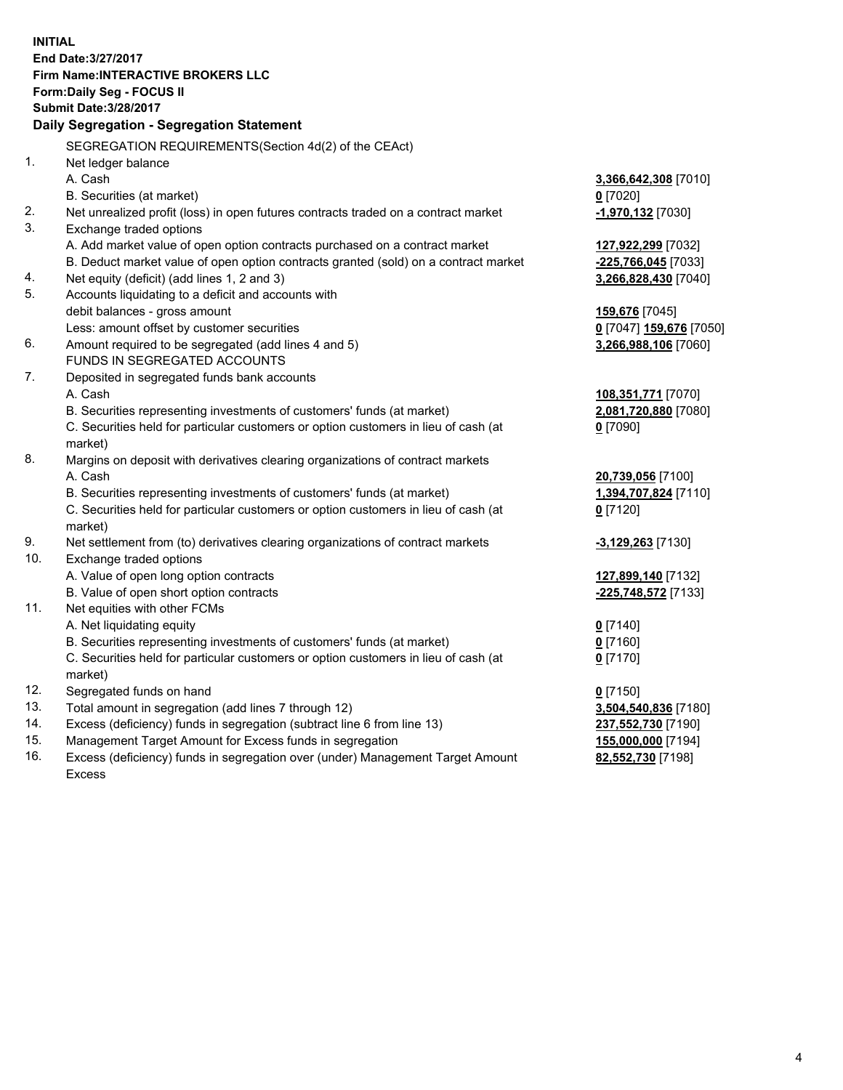**INITIAL End Date:3/27/2017 Firm Name:INTERACTIVE BROKERS LLC Form:Daily Seg - FOCUS II Submit Date:3/28/2017 Daily Segregation - Segregation Statement** SEGREGATION REQUIREMENTS(Section 4d(2) of the CEAct) 1. Net ledger balance A. Cash **3,366,642,308** [7010] B. Securities (at market) **0** [7020] 2. Net unrealized profit (loss) in open futures contracts traded on a contract market **-1,970,132** [7030] 3. Exchange traded options A. Add market value of open option contracts purchased on a contract market **127,922,299** [7032] B. Deduct market value of open option contracts granted (sold) on a contract market **-225,766,045** [7033] 4. Net equity (deficit) (add lines 1, 2 and 3) **3,266,828,430** [7040] 5. Accounts liquidating to a deficit and accounts with debit balances - gross amount **159,676** [7045] Less: amount offset by customer securities **0** [7047] **159,676** [7050] 6. Amount required to be segregated (add lines 4 and 5) **3,266,988,106** [7060] FUNDS IN SEGREGATED ACCOUNTS 7. Deposited in segregated funds bank accounts A. Cash **108,351,771** [7070] B. Securities representing investments of customers' funds (at market) **2,081,720,880** [7080] C. Securities held for particular customers or option customers in lieu of cash (at market) **0** [7090] 8. Margins on deposit with derivatives clearing organizations of contract markets A. Cash **20,739,056** [7100] B. Securities representing investments of customers' funds (at market) **1,394,707,824** [7110] C. Securities held for particular customers or option customers in lieu of cash (at market) **0** [7120] 9. Net settlement from (to) derivatives clearing organizations of contract markets **-3,129,263** [7130] 10. Exchange traded options A. Value of open long option contracts **127,899,140** [7132] B. Value of open short option contracts **-225,748,572** [7133] 11. Net equities with other FCMs A. Net liquidating equity **0** [7140] B. Securities representing investments of customers' funds (at market) **0** [7160] C. Securities held for particular customers or option customers in lieu of cash (at market) **0** [7170] 12. Segregated funds on hand **0** [7150] 13. Total amount in segregation (add lines 7 through 12) **3,504,540,836** [7180] 14. Excess (deficiency) funds in segregation (subtract line 6 from line 13) **237,552,730** [7190] 15. Management Target Amount for Excess funds in segregation **155,000,000** [7194] **82,552,730** [7198]

16. Excess (deficiency) funds in segregation over (under) Management Target Amount Excess